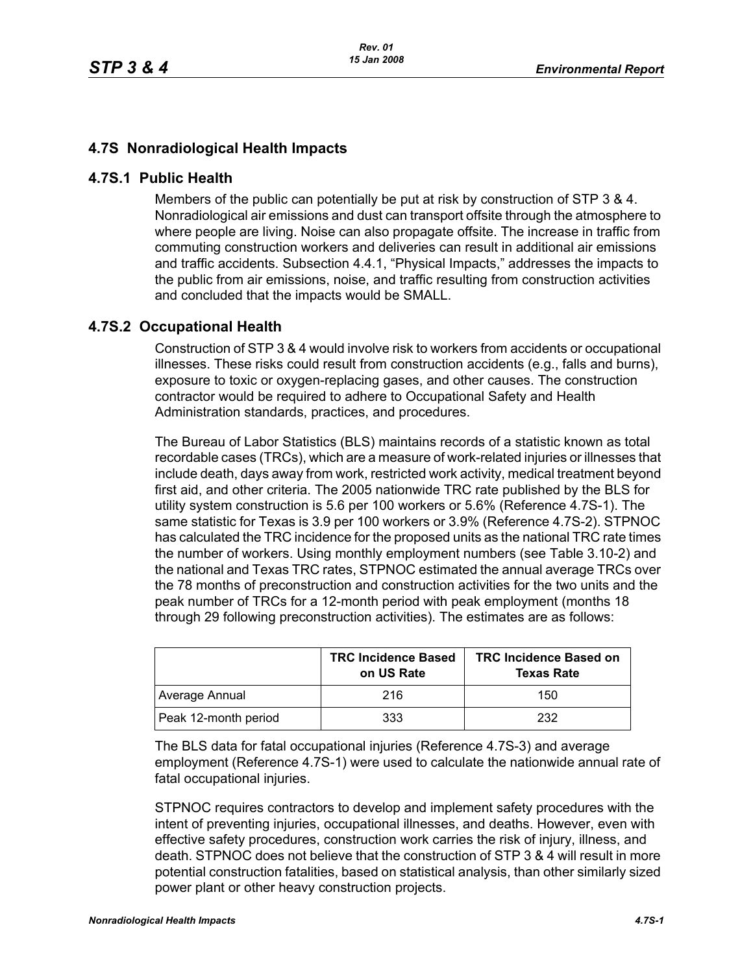## **4.7S Nonradiological Health Impacts**

## **4.7S.1 Public Health**

Members of the public can potentially be put at risk by construction of STP 3 & 4. Nonradiological air emissions and dust can transport offsite through the atmosphere to where people are living. Noise can also propagate offsite. The increase in traffic from commuting construction workers and deliveries can result in additional air emissions and traffic accidents. Subsection 4.4.1, "Physical Impacts," addresses the impacts to the public from air emissions, noise, and traffic resulting from construction activities and concluded that the impacts would be SMALL.

## **4.7S.2 Occupational Health**

Construction of STP 3 & 4 would involve risk to workers from accidents or occupational illnesses. These risks could result from construction accidents (e.g., falls and burns), exposure to toxic or oxygen-replacing gases, and other causes. The construction contractor would be required to adhere to Occupational Safety and Health Administration standards, practices, and procedures.

The Bureau of Labor Statistics (BLS) maintains records of a statistic known as total recordable cases (TRCs), which are a measure of work-related injuries or illnesses that include death, days away from work, restricted work activity, medical treatment beyond first aid, and other criteria. The 2005 nationwide TRC rate published by the BLS for utility system construction is 5.6 per 100 workers or 5.6% (Reference 4.7S-1). The same statistic for Texas is 3.9 per 100 workers or 3.9% (Reference 4.7S-2). STPNOC has calculated the TRC incidence for the proposed units as the national TRC rate times the number of workers. Using monthly employment numbers (see Table 3.10-2) and the national and Texas TRC rates, STPNOC estimated the annual average TRCs over the 78 months of preconstruction and construction activities for the two units and the peak number of TRCs for a 12-month period with peak employment (months 18 through 29 following preconstruction activities). The estimates are as follows:

|                      | <b>TRC Incidence Based</b><br>on US Rate | <b>TRC Incidence Based on</b><br><b>Texas Rate</b> |
|----------------------|------------------------------------------|----------------------------------------------------|
| Average Annual       | 216                                      | 150                                                |
| Peak 12-month period | 333                                      | 232                                                |

The BLS data for fatal occupational injuries (Reference 4.7S-3) and average employment (Reference 4.7S-1) were used to calculate the nationwide annual rate of fatal occupational injuries.

STPNOC requires contractors to develop and implement safety procedures with the intent of preventing injuries, occupational illnesses, and deaths. However, even with effective safety procedures, construction work carries the risk of injury, illness, and death. STPNOC does not believe that the construction of STP 3 & 4 will result in more potential construction fatalities, based on statistical analysis, than other similarly sized power plant or other heavy construction projects.